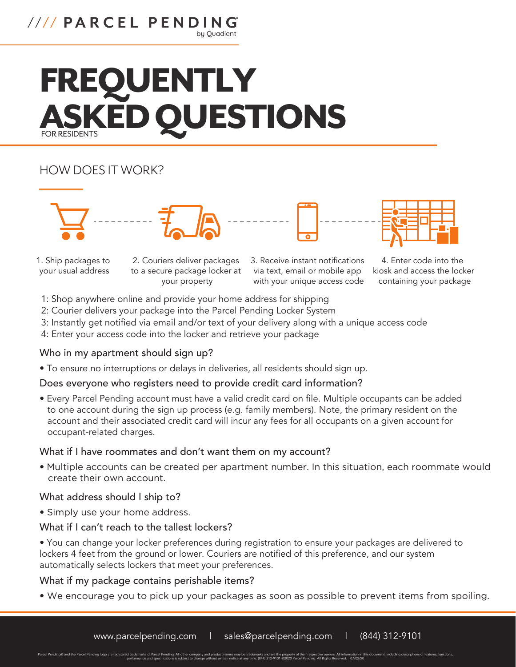# //// PARCEL PENDING by Quadient

# FREQUENTLY **ED QUESTIONS**

# HOW DOES IT WORK?







1. Ship packages to your usual address

2. Couriers deliver packages to a secure package locker at your property

3. Receive instant notifications via text, email or mobile app with your unique access code



4. Enter code into the kiosk and access the locker containing your package

- 1: Shop anywhere online and provide your home address for shipping
- 2: Courier delivers your package into the Parcel Pending Locker System
- 3: Instantly get notified via email and/or text of your delivery along with a unique access code
- 4: Enter your access code into the locker and retrieve your package

# Who in my apartment should sign up?

• To ensure no interruptions or delays in deliveries, all residents should sign up.

# Does everyone who registers need to provide credit card information?

• Every Parcel Pending account must have a valid credit card on file. Multiple occupants can be added to one account during the sign up process (e.g. family members). Note, the primary resident on the account and their associated credit card will incur any fees for all occupants on a given account for occupant-related charges.

#### What if I have roommates and don't want them on my account?

• Multiple accounts can be created per apartment number. In this situation, each roommate would create their own account.

#### What address should I ship to?

• Simply use your home address.

#### What if I can't reach to the tallest lockers?

• You can change your locker preferences during registration to ensure your packages are delivered to lockers 4 feet from the ground or lower. Couriers are notified of this preference, and our system automatically selects lockers that meet your preferences.

# What if my package contains perishable items?

• We encourage you to pick up your packages as soon as possible to prevent items from spoiling.

Parcel Pending® and the Parcel Pending logo are registered trademarks of Parcel Pending. All other company and product names may be trademarks and are the property of their respective owners. All information in this docume performance and specifications is subject to change without written notice at any time. (844) 312-9101 ©2020 Parcel Pending. All Rights Reserved. 07/02/20